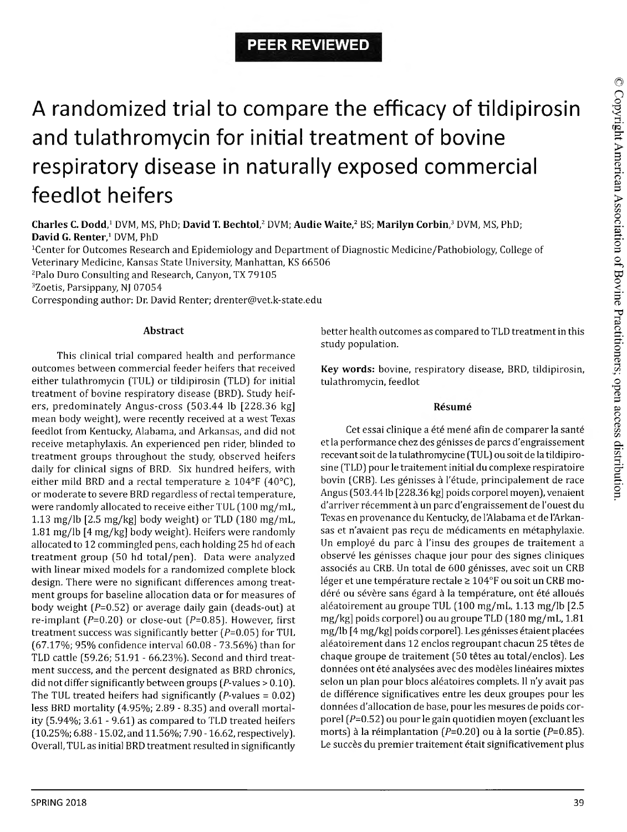# **PEER REVIEWED**

# A randomized trial to compare the efficacy of tildipirosin and tulathromycin for initial treatment of bovine respiratory disease in naturally exposed commercial feedlot heifers

**Charles C. Dodd,1** DVM, MS, PhD; **David T. Bechtol,2** DVM; **Audie Waite,2** BS; **Marilyn Corbin,3** DVM, MS, PhD; **David G. Renter,1** DVM, PhD

<sup>1</sup>Center for Outcomes Research and Epidemiology and Department of Diagnostic Medicine/Pathobiology, College of Veterinary Medicine, Kansas State University, Manhattan, KS 66506

2Palo Duro Consulting and Research, Canyon, TX 79105

3Zoetis, Parsippany, NJ 07054

Corresponding author: Dr. David Renter; [drenter@vet.k-state.edu](mailto:drenter@vet.k-state.edu)

#### **Abstract**

This clinical trial compared health and performance outcomes between commercial feeder heifers that received either tulathromycin (TUL] or tildipirosin (TLD] for initial treatment of bovine respiratory disease (BRD]. Study heifers, predominately Angus-cross (503.44 lb [228.36 kg] mean body weight], were recently received at a west Texas feedlot from Kentucky, Alabama, and Arkansas, and did not receive metaphylaxis. An experienced pen rider, blinded to treatment groups throughout the study, observed heifers daily for clinical signs of BRD. Six hundred heifers, with either mild BRD and a rectal temperature  $\geq 104^{\circ}F$  (40°C), or moderate to severe BRD regardless of rectal temperature, were randomly allocated to receive either TUL (100 mg/mL, 1.13 mg/lb  $[2.5 \text{ mg/kg}]$  body weight) or TLD  $(180 \text{ mg/mL})$ 1.81 mg/lb [4 mg/kg] body weight]. Heifers were randomly allocated to 12 commingled pens, each holding 25 hd of each treatment group (50 hd total/pen]. Data were analyzed with linear mixed models for a randomized complete block design. There were no significant differences among treatment groups for baseline allocation data or for measures of body weight  $(P=0.52)$  or average daily gain (deads-out) at re-implant ( $P=0.20$ ) or close-out ( $P=0.85$ ). However, first treatment success was significantly better  $(P= 0.05)$  for TUL (67.17%; 95% confidence interval 60.08 - 73.56%) than for TLD cattle (59.26; 51.91 - 66.23% ]. Second and third treatment success, and the percent designated as BRD chronics, did not differ significantly between groups  $(P$ -values > 0.10). The TUL treated heifers had significantly  $(P$ -values = 0.02) less BRD mortality (4.95%; 2.89 - 8.35] and overall mortality (5.94%; 3.61 - 9.61] as compared to TLD treated heifers (10.25%; 6.88 -15.02, and 11.56%; 7.90 -16.62, respectively]. Overall, TUL as initial BRD treatment resulted in significantly better health outcomes as compared to TLD treatment in this study population.

**Key words:** bovine, respiratory disease, BRD, tildipirosin, tulathromycin, feedlot

#### **Resume**

Cet essai clinique a été mené afin de comparer la santé et la performance chez des genisses de pares d'engraissement recevant soit de la tulathromycine (TUL] ou soit de la tildipirosine (TLD] pour le traitement initial du complexe respiratoire bovin (CRB). Les génisses à l'étude, principalement de race Angus (503.44 lb [228.36 kg] poids corporel moyen], venaient d'arriver récemment à un parc d'engraissement de l'ouest du Texas en provenance du Kentucky, de l'Alabama et de l'Arkansas et n'avaient pas reçu de médicaments en métaphylaxie. Un employé du parc à l'insu des groupes de traitement a observe les genisses chaque jour pour des signes cliniques associés au CRB. Un total de 600 génisses, avec soit un CRB léger et une température rectale  $\geq 104$ °F ou soit un CRB modéré ou sévère sans égard à la température, ont été alloués aleatoirement au groupe TUL (100 mg/mL, 1.13 mg/lb [2.5 mg/kg] poids corporel] ou au groupe TLD (180 mg/mL, 1.81 mg/lb [4 mg/kg] poids corporel). Les génisses étaient placées aléatoirement dans 12 enclos regroupant chacun 25 têtes de chaque groupe de traitement (50 têtes au total/enclos). Les données ont été analysées avec des modèles linéaires mixtes selon un plan pour blocs aléatoires complets. Il n'y avait pas de difference significatives entre les deux groupes pour les données d'allocation de base, pour les mesures de poids corporel  $(P=0.52)$  ou pour le gain quotidien moyen (excluant les morts) à la réimplantation ( $P=0.20$ ) ou à la sortie ( $P=0.85$ ). Le succès du premier traitement était significativement plus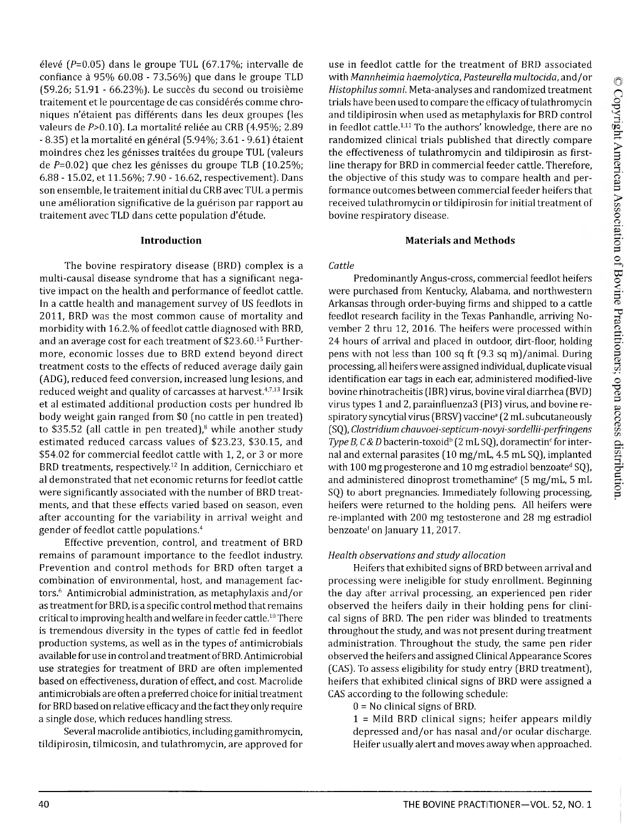élevé ( $P=0.05$ ) dans le groupe TUL (67.17%; intervalle de confiance a 95% 60.08 - 73.56% ) que dans le groupe TLD (59.26; 51.91 - 66.23%). Le succès du second ou troisième traitement et le pourcentage de cas considérés comme chroniques n'étaient pas différents dans les deux groupes (les valeurs de P>0.10). La mortalité reliée au CRB (4.95%; 2.89 - 8.35) et la mortalité en général (5.94%; 3.61 - 9.61) étaient moindres chez les génisses traitées du groupe TUL (valeurs de  $P=0.02$ ) que chez les génisses du groupe TLB (10.25%; 6.88 - 15.02, et 11.56%; 7.90 - 16.62, respectivement). Dans son ensemble, le traitement initial du CRB avec TUL a permis une amélioration significative de la guérison par rapport au traitement avec TLD dans cette population d'etude.

# **Introduction**

The bovine respiratory disease (BRD) complex is a multi-causal disease syndrome that has a significant negative impact on the health and performance of feedlot cattle. In a cattle health and management survey of US feedlots in 2011, BRD was the most common cause of mortality and morbidity with 16.2.% of feedlot cattle diagnosed with BRD, and an average cost for each treatment of \$23.60.15 Furthermore, economic losses due to BRD extend beyond direct treatment costs to the effects of reduced average daily gain (ADG), reduced feed conversion, increased lung lesions, and reduced weight and quality of carcasses at harvest.<sup>4,7,13</sup> Irsik et al estimated additional production costs per hundred lb body weight gain ranged from \$0 (no cattle in pen treated) to \$35.52 (all cattle in pen treated),<sup>8</sup> while another study estimated reduced carcass values of \$23.23, \$30.15, and \$54.02 for commercial feedlot cattle with 1, 2, or 3 or more BRD treatments, respectively.12 In addition, Cernicchiaro et al demonstrated that net economic returns for feedlot cattle were significantly associated with the number of BRD treatments, and that these effects varied based on season, even after accounting for the variability in arrival weight and gender of feedlot cattle populations.4

Effective prevention, control, and treatment of BRD remains of paramount importance to the feedlot industry. Prevention and control methods for BRD often target a combination of environmental, host, and management factors.6 Antimicrobial administration, as metaphylaxis and/or as treatment for BRD, is a specific control method that remains critical to improving health and welfare in feeder cattle.10 There is tremendous diversity in the types of cattle fed in feedlot production systems, as well as in the types of antimicrobials available for use in control and treatment of BRD. Antimicrobial use strategies for treatment of BRD are often implemented based on effectiveness, duration of effect, and cost. Macrolide antimicrobials are often a preferred choice for initial treatment for BRD based on relative efficacy and the fact they only require a single dose, which reduces handling stress.

Several macrolide antibiotics, including gamithromycin, tildipirosin, tilmicosin, and tulathromycin, are approved for use in feedlot cattle for the treatment of BRD associated with *Mannheimia haemolytica, Pasteurella multocida,* and/or *Histophilussomni.* Meta-analyses and randomized treatment trials have been used to compare the efficacy of tulathromycin and tildipirosin when used as metaphylaxis for BRD control in feedlot cattle.<sup>1,11</sup> To the authors' knowledge, there are no randomized clinical trials published that directly compare the effectiveness of tulathromycin and tildipirosin as firstline therapy for BRD in commercial feeder cattle. Therefore, the objective of this study was to compare health and performance outcomes between commercial feeder heifers that received tulathromycin or tildipirosin for initial treatment of bovine respiratory disease.

# **Materials and Methods**

## *Cattle*

Predominantly Angus-cross, commercial feedlot heifers were purchased from Kentucky, Alabama, and northwestern Arkansas through order-buying firms and shipped to a cattle feedlot research facility in the Texas Panhandle, arriving November 2 thru 12, 2016. The heifers were processed within 24 hours of arrival and placed in outdoor, dirt-floor, holding pens with not less than 100 sq ft (9.3 sq m)/animal. During processing, all heifers were assigned individual, duplicate visual identification ear tags in each ear, administered modified-live bovine rhinotracheitis (IBR) virus, bovine viral diarrhea (BVD) virus types 1 and 2, parainfluenza3 (PI3) virus, and bovine respiratory syncytial virus (BRSV) vaccine<sup>a</sup> (2 mL subcutaneously (SQ), *Clostridium chauvoei-septicum-novyi-sordellii-perfringens Type B, C & D* bacterin-toxoid<sup>b</sup> (2 mL SQ), doramectin<sup>c</sup> for internal and external parasites (10 mg/mL, 4.5 mL SQ), implanted with 100 mg progesterone and 10 mg estradiol benzoate<sup>d</sup> SQ), and administered dinoprost tromethamine $e^{e}$  (5 mg/mL, 5 mL SQ) to abort pregnancies. Immediately following processing, heifers were returned to the holding pens. All heifers were re-implanted with 200 mg testosterone and 28 mg estradiol benzoate<sup>†</sup> on January 11, 2017.

# *Health observations and study allocation*

Heifers that exhibited signs of BRD between arrival and processing were ineligible for study enrollment. Beginning the day after arrival processing, an experienced pen rider observed the heifers daily in their holding pens for clinical signs of BRD. The pen rider was blinded to treatments throughout the study, and was not present during treatment administration. Throughout the study, the same pen rider observed the heifers and assigned Clinical Appearance Scores (CAS). To assess eligibility for study entry (BRD treatment), heifers that exhibited clinical signs of BRD were assigned a CAS according to the following schedule:

 $0 = No$  clinical signs of BRD.

1 = Mild BRD clinical signs; heifer appears mildly depressed and/or has nasal and/or ocular discharge. Heifer usually alert and moves away when approached.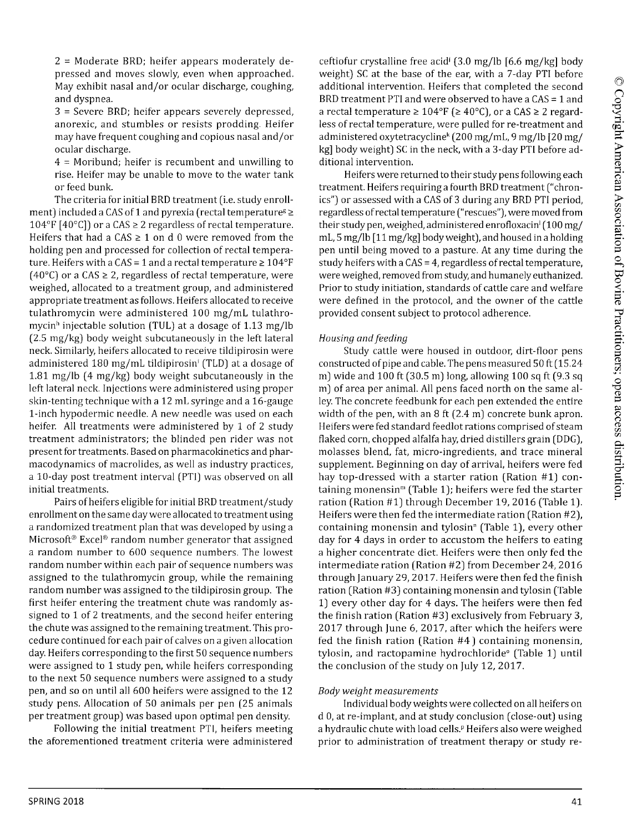2 = Moderate BRD; heifer appears moderately depressed and moves slowly, even when approached. May exhibit nasal and/or ocular discharge, coughing, and dyspnea.

3 = Severe BRD; heifer appears severely depressed, anorexic, and stumbles or resists prodding. Heifer may have frequent coughing and copious nasal and/or ocular discharge.

4 = Moribund; heifer is recumbent and unwilling to rise. Heifer may be unable to move to the water tank or feed bunk.

The criteria for initial BRD treatment (i.e. study enrollment) included a CAS of 1 and pyrexia (rectal temperature  $\ge$ 104°F [40°C]) or a CAS  $\geq$  2 regardless of rectal temperature. Heifers that had a CAS  $\geq 1$  on d 0 were removed from the holding pen and processed for collection of rectal temperature. Heifers with a CAS = 1 and a rectal temperature  $\geq 104^{\circ}F$ (40 $\degree$ C) or a CAS  $\geq$  2, regardless of rectal temperature, were weighed, allocated to a treatment group, and administered appropriate treatment as follows. Heifers allocated to receive tulathromycin were administered 100 mg/mL tulathromycin<sup>h</sup> injectable solution (TUL) at a dosage of 1.13 mg/lb (2.5 mg/kg) body weight subcutaneously in the left lateral neck. Similarly, heifers allocated to receive tildipirosin were administered 180 mg/mL tildipirosin' (TLD) at a dosage of 1.81 mg/lb (4 mg/kg) body weight subcutaneously in the left lateral neck. Injections were administered using proper skin-tenting technique with a 12 mL syringe and a 16-gauge 1-inch hypodermic needle. A new needle was used on each heifer. All treatments were administered by 1 of 2 study treatment administrators; the blinded pen rider was not present for treatments. Based on pharmacokinetics and pharmacodynamics of macrolides, as well as industry practices, a 10-day post treatment interval (PTI) was observed on all initial treatments.

Pairs of heifers eligible for initial BRD treatment/study enrollment on the same day were allocated to treatment using a randomized treatment plan that was developed by using a Microsoft® Excel® random number generator that assigned a random number to 600 sequence numbers. The lowest random number within each pair of sequence numbers was assigned to the tulathromycin group, while the remaining random number was assigned to the tildipirosin group. The first heifer entering the treatment chute was randomly assigned to 1 of 2 treatments, and the second heifer entering the chute was assigned to the remaining treatment. This procedure continued for each pair of calves on a given allocation day. Heifers corresponding to the first 50 sequence numbers were assigned to 1 study pen, while heifers corresponding to the next 50 sequence numbers were assigned to a study pen, and so on until all 600 heifers were assigned to the 12 study pens. Allocation of 50 animals per pen (25 animals per treatment group) was based upon optimal pen density.

Following the initial treatment PTI, heifers meeting the aforementioned treatment criteria were administered

ceftiofur crystalline free acid' (3.0 mg/lb [6.6 mg/kg] body weight) SC at the base of the ear, with a 7-day PTI before additional intervention. Heifers that completed the second BRD treatment PTI and were observed to have a CAS = 1 and a rectal temperature  $\geq 104^{\circ}F$  ( $\geq 40^{\circ}C$ ), or a CAS  $\geq 2$  regardless of rectal temperature, were pulled for re-treatment and administered oxytetracyclinek (200 mg/mL, 9 mg/lb [20 mg/ kg] body weight) SC in the neck, with a 3-day PTI before additional intervention.

Heifers were returned to their study pens following each treatment. Heifers requiring a fourth BRD treatment ("chronics") or assessed with a CAS of 3 during any BRD PTI period, regardless of rectal temperature ("rescues"), were moved from their study pen, weighed, administered enrofloxacin<sup> $1$ </sup> (100 mg/ mL, 5 mg/lb [11 mg/kg] body weight), and housed in a holding pen until being moved to a pasture. At any time during the study heifers with a CAS = 4, regardless of rectal temperature, were weighed, removed from study, and humanely euthanized. Prior to study initiation, standards of cattle care and welfare were defined in the protocol, and the owner of the cattle provided consent subject to protocol adherence.

## *Housing and feeding*

Study cattle were housed in outdoor, dirt-floor pens constructed of pipe and cable. The pens measured 50 ft (15.24 m) wide and 100 ft (30.5 m) long, allowing 100 sq ft (9.3 sq m) of area per animal. All pens faced north on the same alley. The concrete feedbunk for each pen extended the entire width of the pen, with an 8 ft (2.4 m) concrete bunk apron. Heifers were fed standard feedlot rations comprised of steam flaked corn, chopped alfalfa hay, dried distillers grain (DDG), molasses blend, fat, micro-ingredients, and trace mineral supplement. Beginning on day of arrival, heifers were fed hay top-dressed with a starter ration (Ration #1) containing monensin<sup>m</sup> (Table 1); heifers were fed the starter ration (Ration #1) through December 19, 2016 (Table 1). Heifers were then fed the intermediate ration (Ration #2), containing monensin and tylosin<sup>®</sup> (Table 1), every other day for 4 days in order to accustom the heifers to eating a higher concentrate diet. Heifers were then only fed the intermediate ration (Ration #2) from December 24, 2016 through January 29, 2017. Heifers were then fed the finish ration (Ration #3) containing monensin and tylosin (Table 1) every other day for 4 days. The heifers were then fed the finish ration (Ration #3) exclusively from February 3, 2017 through June 6, 2017, after which the heifers were fed the finish ration (Ration  $#4$ ) containing monensin, tylosin, and ractopamine hydrochloride<sup>o</sup> (Table 1) until the conclusion of the study on July 12, 2017.

#### *Body weight measurem ents*

Individual body weights were collected on all heifers on d 0, at re-implant, and at study conclusion (close-out) using a hydraulic chute with load cells.<sup>p</sup> Heifers also were weighed prior to administration of treatment therapy or study re-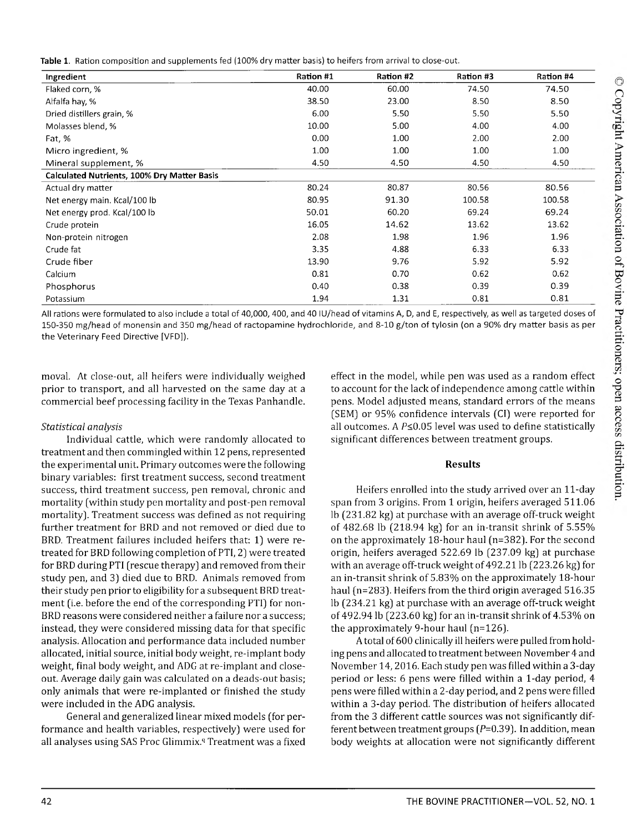| Table 1. Ration composition and supplements fed (100% dry matter basis) to heifers from arrival to close-out. |  |
|---------------------------------------------------------------------------------------------------------------|--|
|---------------------------------------------------------------------------------------------------------------|--|

| Ingredient                                         | Ration #1 | Ration #2 | Ration #3 | Ration #4 |
|----------------------------------------------------|-----------|-----------|-----------|-----------|
| Flaked corn, %                                     | 40.00     | 60.00     | 74.50     | 74.50     |
| Alfalfa hay, %                                     | 38.50     | 23.00     | 8.50      | 8.50      |
| Dried distillers grain, %                          | 6.00      | 5.50      | 5.50      | 5.50      |
| Molasses blend, %                                  | 10.00     | 5.00      | 4.00      | 4.00      |
| Fat, %                                             | 0.00      | 1.00      | 2.00      | 2.00      |
| Micro ingredient, %                                | 1.00      | 1.00      | 1.00      | 1.00      |
| Mineral supplement, %                              | 4.50      | 4.50      | 4.50      | 4.50      |
| <b>Calculated Nutrients, 100% Dry Matter Basis</b> |           |           |           |           |
| Actual dry matter                                  | 80.24     | 80.87     | 80.56     | 80.56     |
| Net energy main. Kcal/100 lb                       | 80.95     | 91.30     | 100.58    | 100.58    |
| Net energy prod. Kcal/100 lb                       | 50.01     | 60.20     | 69.24     | 69.24     |
| Crude protein                                      | 16.05     | 14.62     | 13.62     | 13.62     |
| Non-protein nitrogen                               | 2.08      | 1.98      | 1.96      | 1.96      |
| Crude fat                                          | 3.35      | 4.88      | 6.33      | 6.33      |
| Crude fiber                                        | 13.90     | 9.76      | 5.92      | 5.92      |
| Calcium                                            | 0.81      | 0.70      | 0.62      | 0.62      |
| Phosphorus                                         | 0.40      | 0.38      | 0.39      | 0.39      |
| Potassium                                          | 1.94      | 1.31      | 0.81      | 0.81      |

All rations were formulated to also include a total of 40,000, 400, and 40 lU/head of vitamins A, D, and E, respectively, as well as targeted doses of 150-350 mg/head of monensin and 350 mg/head of ractopamine hydrochloride, and 8-10 g/ton of tylosin (on a 90% dry matter basis as per the Veterinary Feed Directive [VFD]).

moval. At close-out, all heifers were individually weighed prior to transport, and all harvested on the same day at a commercial beef processing facility in the Texas Panhandle.

# *Statistical analysis*

Individual cattle, which were randomly allocated to treatment and then commingled within 12 pens, represented the experimental unit. Primary outcomes were the following binary variables: first treatment success, second treatment success, third treatment success, pen removal, chronic and mortality (within study pen mortality and post-pen removal mortality). Treatment success was defined as not requiring further treatment for BRD and not removed or died due to BRD. Treatment failures included heifers that: 1) were retreated for BRD following completion of PTI, 2) were treated for BRD during PTI (rescue therapy) and removed from their study pen, and 3) died due to BRD. Animals removed from their study pen prior to eligibility for a subsequent BRD treatment (i.e. before the end of the corresponding PTI) for non-BRD reasons were considered neither a failure nor a success; instead, they were considered missing data for that specific analysis. Allocation and performance data included number allocated, initial source, initial body weight, re-implant body weight, final body weight, and ADG at re-implant and closeout. Average daily gain was calculated on a deads-out basis; only animals that were re-implanted or finished the study were included in the ADG analysis.

General and generalized linear mixed models (for performance and health variables, respectively) were used for all analyses using SAS Proc Glimmix.<sup>q</sup> Treatment was a fixed effect in the model, while pen was used as a random effect to account for the lack of independence among cattle within pens. Model adjusted means, standard errors of the means (SEM) or 95% confidence intervals (Cl) were reported for all outcomes. A  $P \le 0.05$  level was used to define statistically significant differences between treatment groups.

# **Results**

Heifers enrolled into the study arrived over an 11-day span from 3 origins. From 1 origin, heifers averaged 511.06 lb (231.82 kg) at purchase with an average off-truck weight of 482.68 lb (218.94 kg) for an in-transit shrink of 5.55% on the approximately 18-hour haul (n=382). For the second origin, heifers averaged 522.69 lb (237.09 kg) at purchase with an average off-truck weight of 492.21 lb (223.26 kg) for an in-transit shrink of 5.83% on the approximately 18-hour haul (n=283). Heifers from the third origin averaged 516.35 lb (234.21 kg) at purchase with an average off-truck weight of 492.94 lb (223.60 kg) for an in-transit shrink of 4.53% on the approximately 9-hour haul (n=126).

A total of 600 clinically ill heifers were pulled from holding pens and allocated to treatment between November 4 and November 14,2016. Each study pen was filled within a 3-day period or less: 6 pens were filled within a 1-day period, 4 pens were filled within a 2-day period, and 2 pens were filled within a 3-day period. The distribution of heifers allocated from the 3 different cattle sources was not significantly different between treatment groups ( $P=0.39$ ). In addition, mean body weights at allocation were not significantly different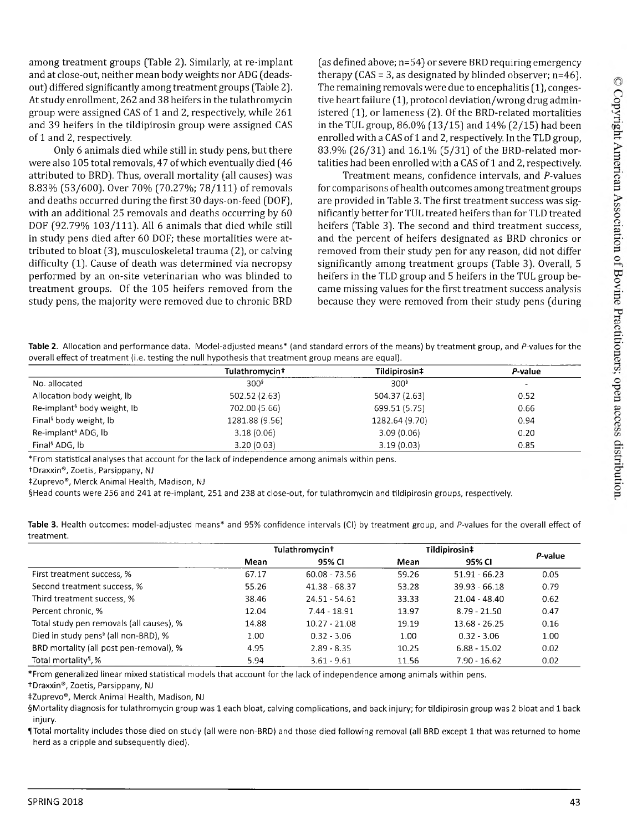among treatment groups (Table 2). Similarly, at re-implant and at close-out, neither mean body weights nor ADG (deadsout) differed significantly among treatment groups (Table 2). At study enrollment, 262 and 38 heifers in the tulathromycin group were assigned CAS of 1 and 2, respectively, while 261 and 39 heifers in the tildipirosin group were assigned CAS of 1 and 2, respectively.

Only 6 animals died while still in study pens, but there were also 105 total removals, 47 of which eventually died (46 attributed to BRD). Thus, overall mortality (all causes) was 8.83% (53/600). Over 70% (70.27% ; 78/111) of removals and deaths occurred during the first 30 days-on-feed (DOF), with an additional 25 removals and deaths occurring by 60 DOF (92.79% 103/111). All 6 animals that died while still in study pens died after 60 DOF; these mortalities were attributed to bloat (3), musculoskeletal trauma (2), or calving difficulty (1). Cause of death was determined via necropsy performed by an on-site veterinarian who was blinded to treatment groups. Of the 105 heifers removed from the study pens, the majority were removed due to chronic BRD

(as defined above; n=54) or severe BRD requiring emergency therapy  $(CAS = 3$ , as designated by blinded observer;  $n=46$ ). The remaining removals were due to encephalitis (1), congestive heart failure (1), protocol deviation/wrong drug administered (1), or lameness (2). Of the BRD-related mortalities in the TUL group, 86.0% (13/15) and 14% (2/15) had been enrolled with a CAS of 1 and 2, respectively. In the TLD group, 83.9% (26/31) and 16.1% (5/31) of the BRD-related mortalities had been enrolled with a CAS of 1 and 2, respectively.

Treatment means, confidence intervals, and P-values for comparisons of health outcomes among treatment groups are provided in Table 3. The first treatment success was significantly better for TUL treated heifers than for TLD treated heifers (Table 3). The second and third treatment success, and the percent of heifers designated as BRD chronics or removed from their study pen for any reason, did not differ significantly among treatment groups (Table 3). Overall, 5 heifers in the TLD group and 5 heifers in the TUL group became missing values for the first treatment success analysis because they were removed from their study pens (during

**Table 2.** Allocation and performance data. Model-adjusted means\* (and standard errors of the means) by treatment group, and P-values for the overall effect of treatment (i.e. testing the null hypothesis that treatment group means are equal).

|                                         | Tulathromycin+   | Tildipirosin‡    | P-value                  |
|-----------------------------------------|------------------|------------------|--------------------------|
| No. allocated                           | 300 <sup>5</sup> | 300 <sup>6</sup> | $\overline{\phantom{0}}$ |
| Allocation body weight, lb              | 502.52 (2.63)    | 504.37 (2.63)    | 0.52                     |
| Re-implant <sup>§</sup> body weight, lb | 702.00 (5.66)    | 699.51 (5.75)    | 0.66                     |
| Final <sup>§</sup> body weight, lb      | 1281.88 (9.56)   | 1282.64 (9.70)   | 0.94                     |
| Re-implant <sup>§</sup> ADG, lb         | 3.18(0.06)       | 3.09(0.06)       | 0.20                     |
| Final <sup>§</sup> ADG. lb              | 3.20(0.03)       | 3.19(0.03)       | 0.85                     |

\*From statistical analyses that account for the lack of independence among animals within pens.

tDraxxin®, Zoetis, Parsippany, NJ

fZuprevo®, Merck Animal Health, Madison, NJ

§Head counts were 256 and 241 at re-implant, 251 and 238 at close-out, for tulathromycin and tildipirosin groups, respectively.

| u eaunent.                                       |                            |                 |               |                 |         |
|--------------------------------------------------|----------------------------|-----------------|---------------|-----------------|---------|
|                                                  | Tulathromycin <sup>+</sup> |                 | Tildipirosin‡ |                 |         |
|                                                  | Mean                       | 95% CI          | Mean          | 95% CI          | P-value |
| First treatment success, %                       | 67.17                      | $60.08 - 73.56$ | 59.26         | $51.91 - 66.23$ | 0.05    |
| Second treatment success. %                      | 55.26                      | $41.38 - 68.37$ | 53.28         | $39.93 - 66.18$ | 0.79    |
| Third treatment success, %                       | 38.46                      | 24.51 - 54.61   | 33.33         | $21.04 - 48.40$ | 0.62    |
| Percent chronic. %                               | 12.04                      | 7.44 - 18.91    | 13.97         | $8.79 - 21.50$  | 0.47    |
| Total study pen removals (all causes), %         | 14.88                      | $10.27 - 21.08$ | 19.19         | $13.68 - 26.25$ | 0.16    |
| Died in study pens <sup>§</sup> (all non-BRD), % | 1.00                       | $0.32 - 3.06$   | 1.00          | $0.32 - 3.06$   | 1.00    |
| BRD mortality (all post pen-removal), %          | 4.95                       | $2.89 - 8.35$   | 10.25         | $6.88 - 15.02$  | 0.02    |

**Table** 3. Health outcomes: model-adjusted means\* and 95% confidence intervals (Cl) by treatment group, and P-values for the overall effect of treatment.

\*From generalized linear mixed statistical models that account for the lack of independence among animals within pens.

tDraxxin®, Zoetis, Parsippany, NJ

fZuprevo®, Merck Animal Health, Madison, NJ

§Mortality diagnosis for tulathromycin group was 1 each bloat, calving complications, and back injury; for tildipirosin group was 2 bloat and 1 back injury.

Total mortality<sup>1</sup>, % 11.56 7.90 - 16.62 0.02 .6 1 -9 .6 1 -9 .6 1 -9 .6 1 -9 .6 1 -9 .6 1 -9 .61 -9 .61 -9 .61 -9 .61 -9 .61 -9 .61 -9 .61 -9 .61 -9 .61 -9 .61 -9 .61 -9 .61 -9 .61 -9 .61 -9 .61 -9 .61 -9 .61 -9 .61 -9 .6

UTotal mortality includes those died on study (all were non-BRD) and those died following removal (all BRD except 1 that was returned to home herd as a cripple and subsequently died).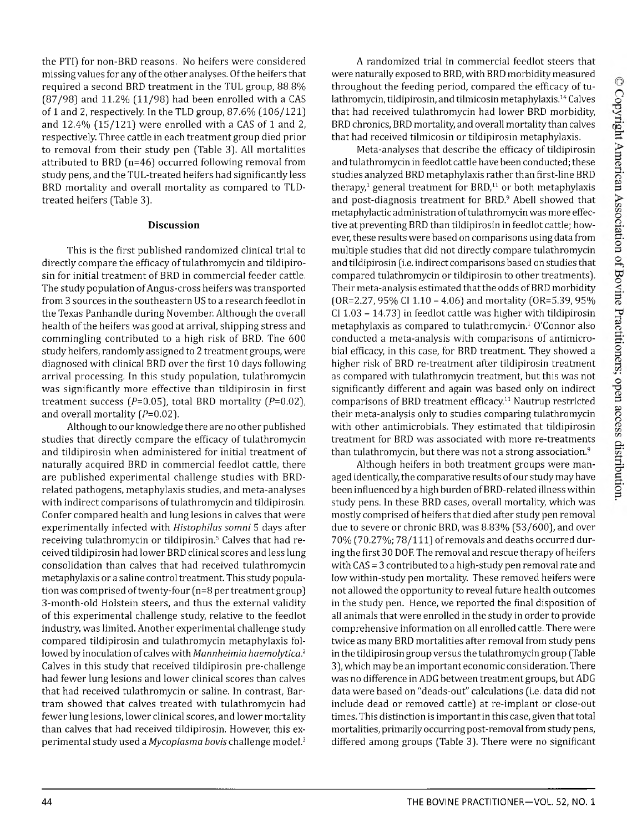the PTI) for non-BRD reasons. No heifers were considered missing values for any of the other analyses. Of the heifers that required a second BRD treatment in the TUL group, 88.8% [87/98) and 11.2% [11/98) had been enrolled with a CAS of 1 and 2, respectively. In the TLD group, 87.6% [106/121) and 12.4% [15/121) were enrolled with a CAS of 1 and 2, respectively. Three cattle in each treatment group died prior to removal from their study pen [Table 3). All mortalities attributed to BRD [n=46) occurred following removal from study pens, and the TUL-treated heifers had significantly less BRD mortality and overall mortality as compared to TLDtreated heifers [Table 3).

#### **Discussion**

This is the first published randomized clinical trial to directly compare the efficacy of tulathromycin and tildipirosin for initial treatment of BRD in commercial feeder cattle. The study population of Angus-cross heifers was transported from 3 sources in the southeastern US to a research feedlot in the Texas Panhandle during November. Although the overall health of the heifers was good at arrival, shipping stress and commingling contributed to a high risk of BRD. The 600 study heifers, randomly assigned to 2 treatment groups, were diagnosed with clinical BRD over the first 10 days following arrival processing. In this study population, tulathromycin was significantly more effective than tildipirosin in first treatment success ( $P=0.05$ ), total BRD mortality ( $P=0.02$ ), and overall mortality  $(P=0.02)$ .

Although to our knowledge there are no other published studies that directly compare the efficacy of tulathromycin and tildipirosin when administered for initial treatment of naturally acquired BRD in commercial feedlot cattle, there are published experimental challenge studies with BRDrelated pathogens, metaphylaxis studies, and meta-analyses with indirect comparisons of tulathromycin and tildipirosin. Confer compared health and lung lesions in calves that were experimentally infected with *Histophilus somni* 5 days after receiving tulathromycin or tildipirosin.5 Calves that had received tildipirosin had lower BRD clinical scores and less lung consolidation than calves that had received tulathromycin metaphylaxis or a saline control treatment. This study population was comprised of twenty-four [n=8 per treatment group) 3-month-old Holstein steers, and thus the external validity of this experimental challenge study, relative to the feedlot industry, was limited. Another experimental challenge study compared tildipirosin and tulathromycin metaphylaxis followed by inoculation of calves with *Marmheimia haemolytica.2* Calves in this study that received tildipirosin pre-challenge had fewer lung lesions and lower clinical scores than calves that had received tulathromycin or saline. In contrast, Bartram showed that calves treated with tulathromycin had fewer lung lesions, lower clinical scores, and lower mortality than calves that had received tildipirosin. However, this experimental study used a *Mycoplasma bovis* challenge model.3

A randomized trial in commercial feedlot steers that were naturally exposed to BRD, with BRD morbidity measured throughout the feeding period, compared the efficacy of tulathromycin, tildipirosin, and tilmicosin metaphylaxis.14 Calves that had received tulathromycin had lower BRD morbidity, BRD chronics, BRD mortality, and overall mortality than calves that had received tilmicosin or tildipirosin metaphylaxis.

Meta-analyses that describe the efficacy of tildipirosin and tulathromycin in feedlot cattle have been conducted; these studies analyzed BRD metaphylaxis rather than first-line BRD therapy, $1$  general treatment for BRD, $11$  or both metaphylaxis and post-diagnosis treatment for BRD.<sup>9</sup> Abell showed that metaphylactic administration of tulathromycin was more effective at preventing BRD than tildipirosin in feedlot cattle; however, these results were based on comparisons using data from multiple studies that did not directly compare tulathromycin and tildipirosin [i.e. indirect comparisons based on studies that compared tulathromycin or tildipirosin to other treatments). Their meta-analysis estimated that the odds of BRD morbidity [OR=2.27, 95% Cl 1.10 - 4.06) and mortality [OR=5.39, 95% Cl 1.03 - 14.73) in feedlot cattle was higher with tildipirosin metaphylaxis as compared to tulathromycin.1 O'Connor also conducted a meta-analysis with comparisons of antimicrobial efficacy, in this case, for BRD treatment. They showed a higher risk of BRD re-treatment after tildipirosin treatment as compared with tulathromycin treatment, but this was not significantly different and again was based only on indirect comparisons of BRD treatment efficacy.11 Nautrup restricted their meta-analysis only to studies comparing tulathromycin with other antimicrobials. They estimated that tildipirosin treatment for BRD was associated with more re-treatments than tulathromycin, but there was not a strong association. $9$ 

Although heifers in both treatment groups were managed identically, the comparative results of our study may have been influenced by a high burden of BRD-related illness within study pens. In these BRD cases, overall mortality, which was mostly comprised of heifers that died after study pen removal due to severe or chronic BRD, was 8.83% [53/600), and over 70% [70.27%; 78/111) of removals and deaths occurred during the first 30 DOF. The removal and rescue therapy of heifers with CAS = 3 contributed to a high-study pen removal rate and low within-study pen mortality. These removed heifers were not allowed the opportunity to reveal future health outcomes in the study pen. Hence, we reported the final disposition of all animals that were enrolled in the study in order to provide comprehensive information on all enrolled cattle. There were twice as many BRD mortalities after removal from study pens in the tildipirosin group versus the tulathromycin group [Table 3), which may be an important economic consideration. There was no difference in ADG between treatment groups, but ADG data were based on "deads-out" calculations [i.e. data did not include dead or removed cattle) at re-implant or close-out times. This distinction is important in this case, given that total mortalities, primarily occurring post-removal from study pens, differed among groups [Table 3). There were no significant